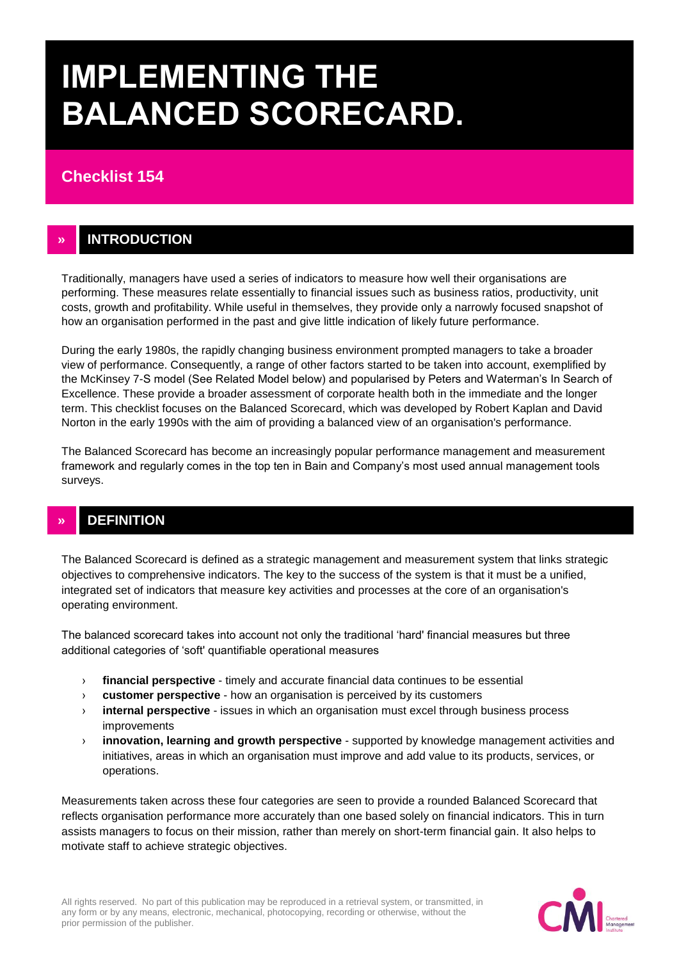# **IMPLEMENTING THE BALANCED SCORECARD.**

# **Checklist 154**

## **» INTRODUCTION**

Traditionally, managers have used a series of indicators to measure how well their organisations are performing. These measures relate essentially to financial issues such as business ratios, productivity, unit costs, growth and profitability. While useful in themselves, they provide only a narrowly focused snapshot of how an organisation performed in the past and give little indication of likely future performance.

During the early 1980s, the rapidly changing business environment prompted managers to take a broader view of performance. Consequently, a range of other factors started to be taken into account, exemplified by the McKinsey 7-S model (See Related Model below) and popularised by Peters and Waterman's In Search of Excellence. These provide a broader assessment of corporate health both in the immediate and the longer term. This checklist focuses on the Balanced Scorecard, which was developed by Robert Kaplan and David Norton in the early 1990s with the aim of providing a balanced view of an organisation's performance.

The Balanced Scorecard has become an increasingly popular performance management and measurement framework and regularly comes in the top ten in Bain and Company's most used annual management tools surveys.

# **» DEFINITION**

The Balanced Scorecard is defined as a strategic management and measurement system that links strategic objectives to comprehensive indicators. The key to the success of the system is that it must be a unified, integrated set of indicators that measure key activities and processes at the core of an organisation's operating environment.

The balanced scorecard takes into account not only the traditional 'hard' financial measures but three additional categories of 'soft' quantifiable operational measures

- › **financial perspective** timely and accurate financial data continues to be essential
- › **customer perspective** how an organisation is perceived by its customers
- › **internal perspective** issues in which an organisation must excel through business process improvements
- › **innovation, learning and growth perspective** supported by knowledge management activities and initiatives, areas in which an organisation must improve and add value to its products, services, or operations.

Measurements taken across these four categories are seen to provide a rounded Balanced Scorecard that reflects organisation performance more accurately than one based solely on financial indicators. This in turn assists managers to focus on their mission, rather than merely on short-term financial gain. It also helps to motivate staff to achieve strategic objectives.

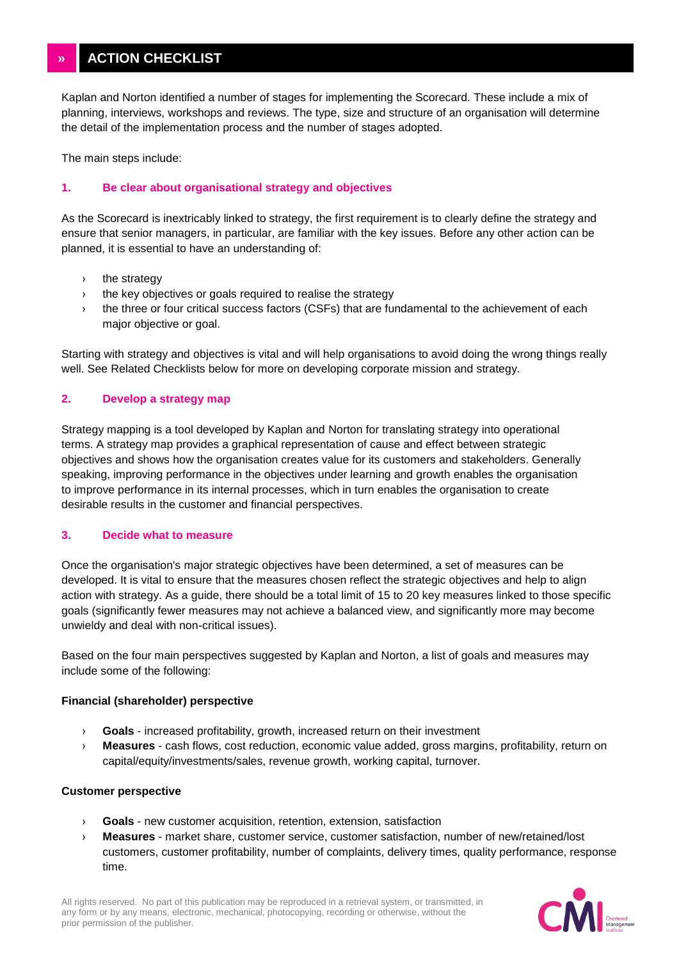Kaplan and Norton identified a number of stages for implementing the Scorecard. These include a mix of planning, interviews, workshops and reviews. The type, size and structure of an organisation will determine the detail of the implementation process and the number of stages adopted.

The main steps include:

#### **1. Be clear about organisational strategy and objectives**

As the Scorecard is inextricably linked to strategy, the first requirement is to clearly define the strategy and ensure that senior managers, in particular, are familiar with the key issues. Before any other action can be planned, it is essential to have an understanding of:

- › the strategy
- › the key objectives or goals required to realise the strategy
- › the three or four critical success factors (CSFs) that are fundamental to the achievement of each major objective or goal.

Starting with strategy and objectives is vital and will help organisations to avoid doing the wrong things really well. See Related Checklists below for more on developing corporate mission and strategy.

#### **2. Develop a strategy map**

Strategy mapping is a tool developed by Kaplan and Norton for translating strategy into operational terms. A strategy map provides a graphical representation of cause and effect between strategic objectives and shows how the organisation creates value for its customers and stakeholders. Generally speaking, improving performance in the objectives under learning and growth enables the organisation to improve performance in its internal processes, which in turn enables the organisation to create desirable results in the customer and financial perspectives.

#### **3. Decide what to measure**

Once the organisation's major strategic objectives have been determined, a set of measures can be developed. It is vital to ensure that the measures chosen reflect the strategic objectives and help to align action with strategy. As a guide, there should be a total limit of 15 to 20 key measures linked to those specific goals (significantly fewer measures may not achieve a balanced view, and significantly more may become unwieldy and deal with non-critical issues).

Based on the four main perspectives suggested by Kaplan and Norton, a list of goals and measures may include some of the following:

#### **Financial (shareholder) perspective**

- › **Goals** increased profitability, growth, increased return on their investment
- › **Measures** cash flows, cost reduction, economic value added, gross margins, profitability, return on capital/equity/investments/sales, revenue growth, working capital, turnover.

#### **Customer perspective**

- › **Goals** new customer acquisition, retention, extension, satisfaction
- › **Measures** market share, customer service, customer satisfaction, number of new/retained/lost customers, customer profitability, number of complaints, delivery times, quality performance, response time.

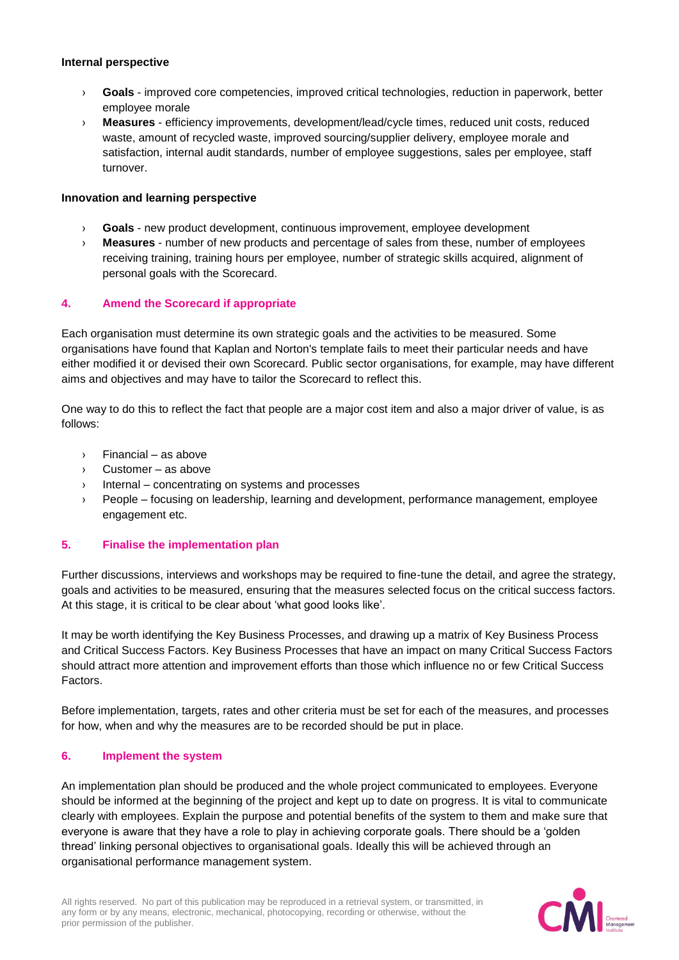#### **Internal perspective**

- › **Goals** improved core competencies, improved critical technologies, reduction in paperwork, better employee morale
- › **Measures** efficiency improvements, development/lead/cycle times, reduced unit costs, reduced waste, amount of recycled waste, improved sourcing/supplier delivery, employee morale and satisfaction, internal audit standards, number of employee suggestions, sales per employee, staff turnover.

#### **Innovation and learning perspective**

- › **Goals** new product development, continuous improvement, employee development
- › **Measures** number of new products and percentage of sales from these, number of employees receiving training, training hours per employee, number of strategic skills acquired, alignment of personal goals with the Scorecard.

#### **4. Amend the Scorecard if appropriate**

Each organisation must determine its own strategic goals and the activities to be measured. Some organisations have found that Kaplan and Norton's template fails to meet their particular needs and have either modified it or devised their own Scorecard. Public sector organisations, for example, may have different aims and objectives and may have to tailor the Scorecard to reflect this.

One way to do this to reflect the fact that people are a major cost item and also a major driver of value, is as follows:

- › Financial as above
- › Customer as above
- › Internal concentrating on systems and processes
- › People focusing on leadership, learning and development, performance management, employee engagement etc.

#### **5. Finalise the implementation plan**

Further discussions, interviews and workshops may be required to fine-tune the detail, and agree the strategy, goals and activities to be measured, ensuring that the measures selected focus on the critical success factors. At this stage, it is critical to be clear about 'what good looks like'.

It may be worth identifying the Key Business Processes, and drawing up a matrix of Key Business Process and Critical Success Factors. Key Business Processes that have an impact on many Critical Success Factors should attract more attention and improvement efforts than those which influence no or few Critical Success Factors.

Before implementation, targets, rates and other criteria must be set for each of the measures, and processes for how, when and why the measures are to be recorded should be put in place.

#### **6. Implement the system**

An implementation plan should be produced and the whole project communicated to employees. Everyone should be informed at the beginning of the project and kept up to date on progress. It is vital to communicate clearly with employees. Explain the purpose and potential benefits of the system to them and make sure that everyone is aware that they have a role to play in achieving corporate goals. There should be a 'golden thread' linking personal objectives to organisational goals. Ideally this will be achieved through an organisational performance management system.

All rights reserved. No part of this publication may be reproduced in a retrieval system, or transmitted, in any form or by any means, electronic, mechanical, photocopying, recording or otherwise, without the prior permission of the publisher.

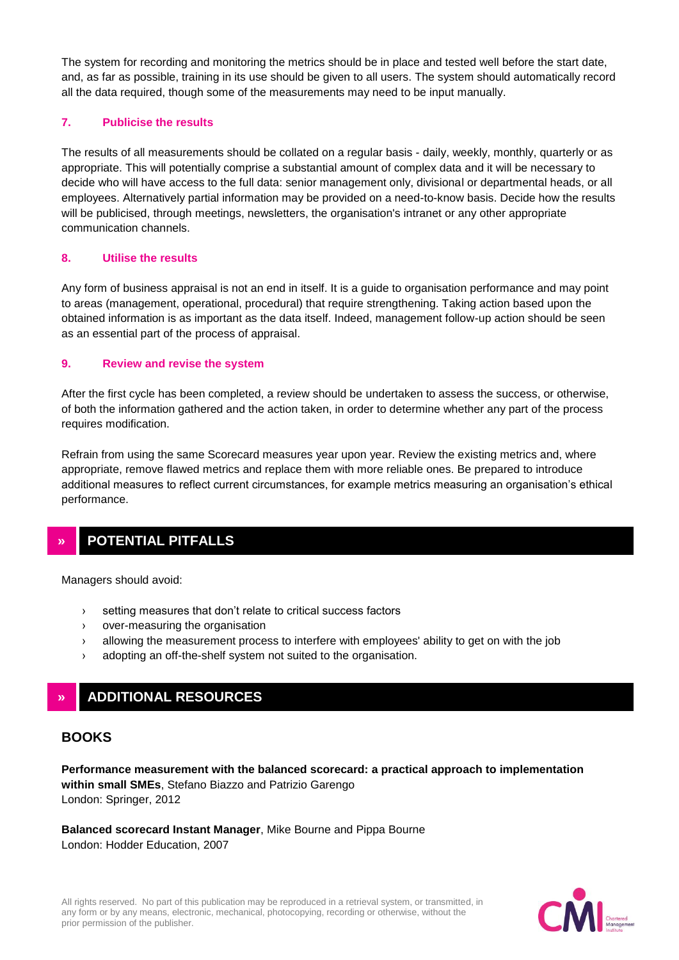The system for recording and monitoring the metrics should be in place and tested well before the start date, and, as far as possible, training in its use should be given to all users. The system should automatically record all the data required, though some of the measurements may need to be input manually.

#### **7. Publicise the results**

The results of all measurements should be collated on a regular basis - daily, weekly, monthly, quarterly or as appropriate. This will potentially comprise a substantial amount of complex data and it will be necessary to decide who will have access to the full data: senior management only, divisional or departmental heads, or all employees. Alternatively partial information may be provided on a need-to-know basis. Decide how the results will be publicised, through meetings, newsletters, the organisation's intranet or any other appropriate communication channels.

#### **8. Utilise the results**

Any form of business appraisal is not an end in itself. It is a guide to organisation performance and may point to areas (management, operational, procedural) that require strengthening. Taking action based upon the obtained information is as important as the data itself. Indeed, management follow-up action should be seen as an essential part of the process of appraisal.

#### **9. Review and revise the system**

After the first cycle has been completed, a review should be undertaken to assess the success, or otherwise, of both the information gathered and the action taken, in order to determine whether any part of the process requires modification.

Refrain from using the same Scorecard measures year upon year. Review the existing metrics and, where appropriate, remove flawed metrics and replace them with more reliable ones. Be prepared to introduce additional measures to reflect current circumstances, for example metrics measuring an organisation's ethical performance.

## **» POTENTIAL PITFALLS**

Managers should avoid:

- › setting measures that don't relate to critical success factors
- › over-measuring the organisation
- › allowing the measurement process to interfere with employees' ability to get on with the job
- › adopting an off-the-shelf system not suited to the organisation.

# **» ADDITIONAL RESOURCES**

## **BOOKS**

**Performance measurement with the balanced scorecard: a practical approach to implementation within small SMEs**, Stefano Biazzo and Patrizio Garengo London: Springer, 2012

**Balanced scorecard Instant Manager**, Mike Bourne and Pippa Bourne London: Hodder Education, 2007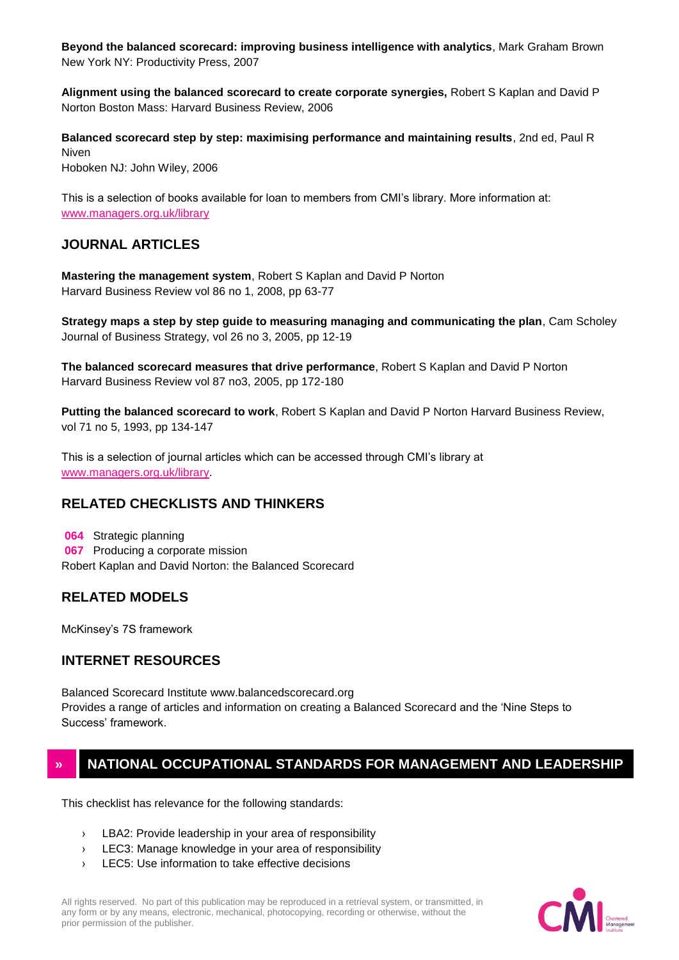**Beyond the balanced scorecard: improving business intelligence with analytics**, Mark Graham Brown New York NY: Productivity Press, 2007

**Alignment using the balanced scorecard to create corporate synergies,** Robert S Kaplan and David P Norton Boston Mass: Harvard Business Review, 2006

**Balanced scorecard step by step: maximising performance and maintaining results**, 2nd ed, Paul R Niven Hoboken NJ: John Wiley, 2006

This is a selection of books available for loan to members from CMI's library. More information at: [www.managers.org.uk/library](http://www.managers.org.uk/library)

## **JOURNAL ARTICLES**

**Mastering the management system**, Robert S Kaplan and David P Norton Harvard Business Review vol 86 no 1, 2008, pp 63-77

**Strategy maps a step by step guide to measuring managing and communicating the plan**, Cam Scholey Journal of Business Strategy, vol 26 no 3, 2005, pp 12-19

**The balanced scorecard measures that drive performance**, Robert S Kaplan and David P Norton Harvard Business Review vol 87 no3, 2005, pp 172-180

**Putting the balanced scorecard to work**, Robert S Kaplan and David P Norton Harvard Business Review, vol 71 no 5, 1993, pp 134-147

This is a selection of journal articles which can be accessed through CMI's library at [www.managers.org.uk/library.](http://www.managers.org.uk/library)

## **RELATED CHECKLISTS AND THINKERS**

**064** Strategic planning **067** Producing a corporate mission Robert Kaplan and David Norton: the Balanced Scorecard

## **RELATED MODELS**

McKinsey's 7S framework

### **INTERNET RESOURCES**

Balanced Scorecard Institute www.balancedscorecard.org Provides a range of articles and information on creating a Balanced Scorecard and the 'Nine Steps to Success' framework.

## **» NATIONAL OCCUPATIONAL STANDARDS FOR MANAGEMENT AND LEADERSHIP**

This checklist has relevance for the following standards:

- › LBA2: Provide leadership in your area of responsibility
- › LEC3: Manage knowledge in your area of responsibility
- › LEC5: Use information to take effective decisions

All rights reserved. No part of this publication may be reproduced in a retrieval system, or transmitted, in any form or by any means, electronic, mechanical, photocopying, recording or otherwise, without the prior permission of the publisher.